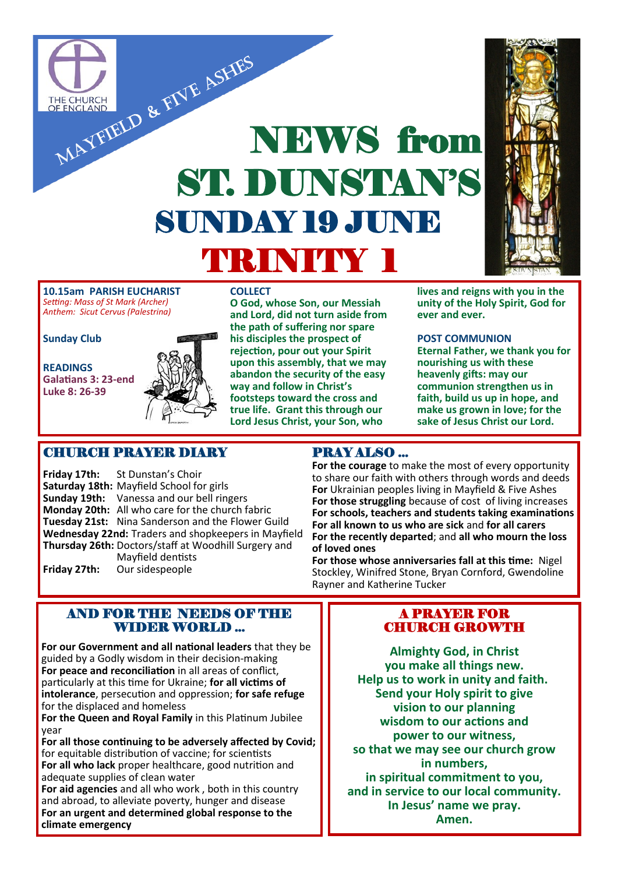

**O God, whose Son, our Messiah and Lord, did not turn aside from the path of suffering nor spare his disciples the prospect of rejection, pour out your Spirit upon this assembly, that we may abandon the security of the easy way and follow in Christ's footsteps toward the cross and true life. Grant this through our Lord Jesus Christ, your Son, who** 

**10.15am PARISH EUCHARIST**  *Setting: Mass of St Mark (Archer) Anthem: Sicut Cervus (Palestrina)*

**Sunday Club**

**READINGS Galatians 3: 23-end Luke 8: 26-39**



## CHURCH PRAYER DIARY

**Friday 17th:** St Dunstan's Choir **Saturday 18th:** Mayfield School for girls **Sunday 19th:** Vanessa and our bell ringers **Monday 20th:** All who care for the church fabric **Tuesday 21st:** Nina Sanderson and the Flower Guild **Wednesday 22nd:** Traders and shopkeepers in Mayfield **Thursday 26th:** Doctors/staff at Woodhill Surgery and Mayfield dentists **Friday 27th:** Our sidespeople

## AND FOR THE NEEDS OF THE WIDER WORLD ...

**For our Government and all national leaders** that they be guided by a Godly wisdom in their decision-making **For peace and reconciliation** in all areas of conflict, particularly at this time for Ukraine; **for all victims of intolerance**, persecution and oppression; **for safe refuge**  for the displaced and homeless

**For the Queen and Royal Family** in this Platinum Jubilee year

**For all those continuing to be adversely affected by Covid;**  for equitable distribution of vaccine; for scientists **For all who lack** proper healthcare, good nutrition and adequate supplies of clean water

**For aid agencies** and all who work , both in this country and abroad, to alleviate poverty, hunger and disease **For an urgent and determined global response to the climate emergency** 

## PRAY ALSO ...

**For the courage** to make the most of every opportunity to share our faith with others through words and deeds **For** Ukrainian peoples living in Mayfield & Five Ashes **For those struggling** because of cost of living increases **For schools, teachers and students taking examinations For all known to us who are sick** and **for all carers For the recently departed**; and **all who mourn the loss of loved ones**

**unity of the Holy Spirit, God for** 

**Eternal Father, we thank you for** 

**ever and ever.** 

**POST COMMUNION**

**nourishing us with these heavenly gifts: may our communion strengthen us in faith, build us up in hope, and make us grown in love; for the sake of Jesus Christ our Lord.**

**For those whose anniversaries fall at this time:** Nigel Stockley, Winifred Stone, Bryan Cornford, Gwendoline Rayner and Katherine Tucker

## A PRAYER FOR CHURCH GROWTH

**Almighty God, in Christ you make all things new. Help us to work in unity and faith. Send your Holy spirit to give vision to our planning wisdom to our actions and power to our witness, so that we may see our church grow in numbers, in spiritual commitment to you, and in service to our local community. In Jesus' name we pray. Amen.**